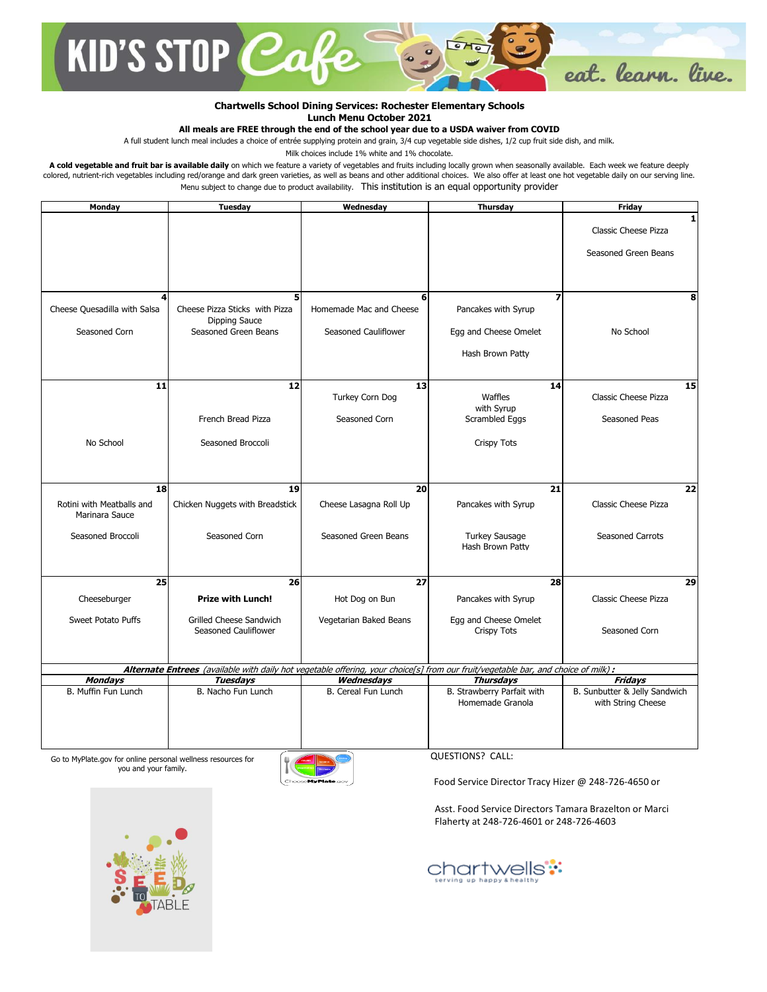

## **Chartwells School Dining Services: Rochester Elementary Schools Lunch Menu October 2021**

## **All meals are FREE through the end of the school year due to a USDA waiver from COVID**

A full student lunch meal includes a choice of entrée supplying protein and grain, 3/4 cup vegetable side dishes, 1/2 cup fruit side dish, and milk.

Milk choices include 1% white and 1% chocolate.

A cold vegetable and fruit bar is available daily on which we feature a variety of vegetables and fruits including locally grown when seasonally available. Each week we feature deeply colored, nutrient-rich vegetables including red/orange and dark green varieties, as well as beans and other additional choices. We also offer at least one hot vegetable daily on our serving line. Menu subject to change due to product availability. This institution is an equal opportunity provider

| Monday                       | Tuesday                                                | Wednesday               | Thursday                                                                                                                           | <b>Friday</b>                 |
|------------------------------|--------------------------------------------------------|-------------------------|------------------------------------------------------------------------------------------------------------------------------------|-------------------------------|
|                              |                                                        |                         |                                                                                                                                    | 1                             |
|                              |                                                        |                         |                                                                                                                                    | Classic Cheese Pizza          |
|                              |                                                        |                         |                                                                                                                                    | Seasoned Green Beans          |
|                              |                                                        |                         |                                                                                                                                    |                               |
|                              |                                                        |                         |                                                                                                                                    |                               |
|                              |                                                        |                         |                                                                                                                                    |                               |
| 4                            | 5                                                      | 6                       | $\overline{\phantom{a}}$                                                                                                           | 8                             |
| Cheese Quesadilla with Salsa | Cheese Pizza Sticks with Pizza                         | Homemade Mac and Cheese | Pancakes with Syrup                                                                                                                |                               |
| Seasoned Corn                | Dipping Sauce<br>Seasoned Green Beans                  | Seasoned Cauliflower    |                                                                                                                                    | No School                     |
|                              |                                                        |                         | Egg and Cheese Omelet                                                                                                              |                               |
|                              |                                                        |                         | Hash Brown Patty                                                                                                                   |                               |
|                              |                                                        |                         |                                                                                                                                    |                               |
| 11                           | 12                                                     | 13                      | 14                                                                                                                                 | 15                            |
|                              |                                                        | Turkey Corn Dog         | Waffles                                                                                                                            | Classic Cheese Pizza          |
|                              |                                                        |                         | with Svrup                                                                                                                         |                               |
|                              | French Bread Pizza                                     | Seasoned Corn           | Scrambled Eggs                                                                                                                     | Seasoned Peas                 |
|                              |                                                        |                         |                                                                                                                                    |                               |
| No School                    | Seasoned Broccoli                                      |                         | <b>Crispy Tots</b>                                                                                                                 |                               |
|                              |                                                        |                         |                                                                                                                                    |                               |
|                              |                                                        |                         |                                                                                                                                    |                               |
| <b>18</b>                    | 19                                                     | 20                      | 21                                                                                                                                 | 22                            |
| Rotini with Meatballs and    | Chicken Nuggets with Breadstick                        | Cheese Lasagna Roll Up  | Pancakes with Syrup                                                                                                                | <b>Classic Cheese Pizza</b>   |
| Marinara Sauce               |                                                        |                         |                                                                                                                                    |                               |
|                              |                                                        |                         |                                                                                                                                    |                               |
| Seasoned Broccoli            | Seasoned Corn                                          | Seasoned Green Beans    | <b>Turkey Sausage</b><br>Hash Brown Patty                                                                                          | <b>Seasoned Carrots</b>       |
|                              |                                                        |                         |                                                                                                                                    |                               |
|                              |                                                        |                         |                                                                                                                                    |                               |
| 25                           | 26                                                     | $\overline{27}$         | 28                                                                                                                                 | 29                            |
| Cheeseburger                 | <b>Prize with Lunch!</b>                               | Hot Dog on Bun          | Pancakes with Syrup                                                                                                                | Classic Cheese Pizza          |
|                              |                                                        |                         |                                                                                                                                    |                               |
| <b>Sweet Potato Puffs</b>    | <b>Grilled Cheese Sandwich</b><br>Seasoned Cauliflower | Vegetarian Baked Beans  | Egg and Cheese Omelet<br><b>Crispy Tots</b>                                                                                        | Seasoned Corn                 |
|                              |                                                        |                         |                                                                                                                                    |                               |
|                              |                                                        |                         |                                                                                                                                    |                               |
|                              |                                                        |                         | Alternate Entrees (available with daily hot vegetable offering, your choice[s] from our fruit/vegetable bar, and choice of milk) : |                               |
| <b>Mondays</b>               | <b>Tuesdays</b>                                        | Wednesdays              | <b>Thursdays</b>                                                                                                                   | Fridays                       |
| B. Muffin Fun Lunch          | B. Nacho Fun Lunch                                     | B. Cereal Fun Lunch     | B. Strawberry Parfait with                                                                                                         | B. Sunbutter & Jelly Sandwich |
|                              |                                                        |                         | Homemade Granola                                                                                                                   | with String Cheese            |
|                              |                                                        |                         |                                                                                                                                    |                               |
|                              |                                                        |                         |                                                                                                                                    |                               |
|                              |                                                        |                         |                                                                                                                                    |                               |

Go to MyPlate.gov for online personal wellness resources for you and your family.



QUESTIONS? CALL:

Food Service Director Tracy Hizer @ 248-726-4650 or

Asst. Food Service Directors Tamara Brazelton or Marci Flaherty at 248-726-4601 or 248-726-4603